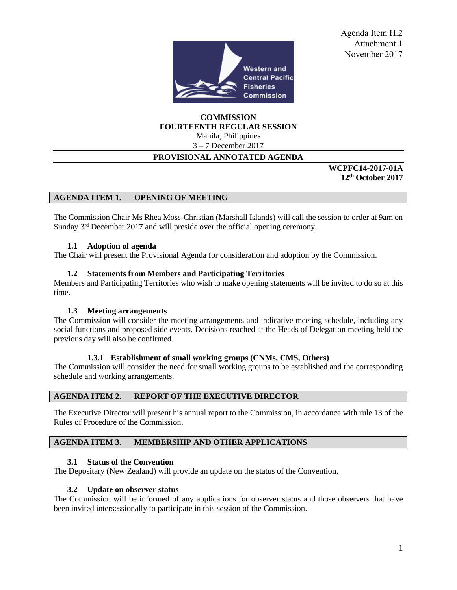

Agenda Item H.2 Attachment 1 November 2017

**COMMISSION FOURTEENTH REGULAR SESSION**

Manila, Philippines 3 – 7 December 2017

# **PROVISIONAL ANNOTATED AGENDA**

**WCPFC14-2017-01A 12th October 2017** 

### **AGENDA ITEM 1. OPENING OF MEETING**

The Commission Chair Ms Rhea Moss-Christian (Marshall Islands) will call the session to order at 9am on Sunday 3<sup>rd</sup> December 2017 and will preside over the official opening ceremony.

#### **1.1 Adoption of agenda**

The Chair will present the Provisional Agenda for consideration and adoption by the Commission.

#### **1.2 Statements from Members and Participating Territories**

Members and Participating Territories who wish to make opening statements will be invited to do so at this time.

#### **1.3 Meeting arrangements**

The Commission will consider the meeting arrangements and indicative meeting schedule, including any social functions and proposed side events. Decisions reached at the Heads of Delegation meeting held the previous day will also be confirmed.

#### **1.3.1 Establishment of small working groups (CNMs, CMS, Others)**

The Commission will consider the need for small working groups to be established and the corresponding schedule and working arrangements.

#### **AGENDA ITEM 2. REPORT OF THE EXECUTIVE DIRECTOR**

The Executive Director will present his annual report to the Commission, in accordance with rule 13 of the Rules of Procedure of the Commission.

#### **AGENDA ITEM 3. MEMBERSHIP AND OTHER APPLICATIONS**

#### **3.1 Status of the Convention**

The Depositary (New Zealand) will provide an update on the status of the Convention.

#### **3.2 Update on observer status**

The Commission will be informed of any applications for observer status and those observers that have been invited intersessionally to participate in this session of the Commission.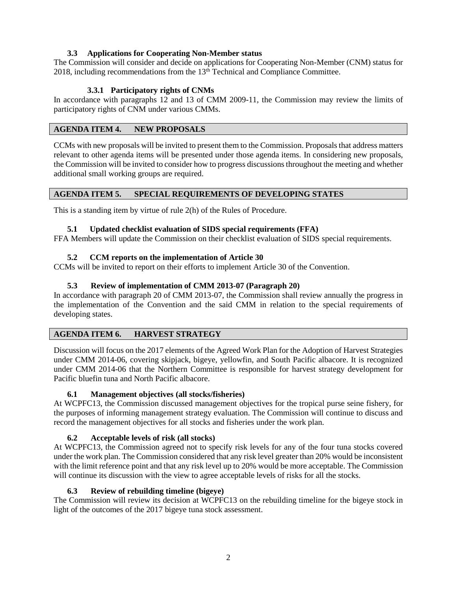# **3.3 Applications for Cooperating Non-Member status**

The Commission will consider and decide on applications for Cooperating Non-Member (CNM) status for 2018, including recommendations from the  $13<sup>th</sup>$  Technical and Compliance Committee.

## **3.3.1 Participatory rights of CNMs**

In accordance with paragraphs 12 and 13 of CMM 2009-11, the Commission may review the limits of participatory rights of CNM under various CMMs.

### **AGENDA ITEM 4. NEW PROPOSALS**

CCMs with new proposals will be invited to present them to the Commission. Proposals that address matters relevant to other agenda items will be presented under those agenda items. In considering new proposals, the Commission will be invited to consider how to progress discussions throughout the meeting and whether additional small working groups are required.

### **AGENDA ITEM 5. SPECIAL REQUIREMENTS OF DEVELOPING STATES**

This is a standing item by virtue of rule 2(h) of the Rules of Procedure.

### **5.1 Updated checklist evaluation of SIDS special requirements (FFA)**

FFA Members will update the Commission on their checklist evaluation of SIDS special requirements.

### **5.2 CCM reports on the implementation of Article 30**

CCMs will be invited to report on their efforts to implement Article 30 of the Convention.

### **5.3 Review of implementation of CMM 2013-07 (Paragraph 20)**

In accordance with paragraph 20 of CMM 2013-07, the Commission shall review annually the progress in the implementation of the Convention and the said CMM in relation to the special requirements of developing states.

### **AGENDA ITEM 6. HARVEST STRATEGY**

Discussion will focus on the 2017 elements of the Agreed Work Plan for the Adoption of Harvest Strategies under CMM 2014-06, covering skipjack, bigeye, yellowfin, and South Pacific albacore. It is recognized under CMM 2014-06 that the Northern Committee is responsible for harvest strategy development for Pacific bluefin tuna and North Pacific albacore.

### **6.1 Management objectives (all stocks/fisheries)**

At WCPFC13, the Commission discussed management objectives for the tropical purse seine fishery, for the purposes of informing management strategy evaluation. The Commission will continue to discuss and record the management objectives for all stocks and fisheries under the work plan.

### **6.2 Acceptable levels of risk (all stocks)**

At WCPFC13, the Commission agreed not to specify risk levels for any of the four tuna stocks covered under the work plan. The Commission considered that any risk level greater than 20% would be inconsistent with the limit reference point and that any risk level up to 20% would be more acceptable. The Commission will continue its discussion with the view to agree acceptable levels of risks for all the stocks.

### **6.3 Review of rebuilding timeline (bigeye)**

The Commission will review its decision at WCPFC13 on the rebuilding timeline for the bigeye stock in light of the outcomes of the 2017 bigeye tuna stock assessment.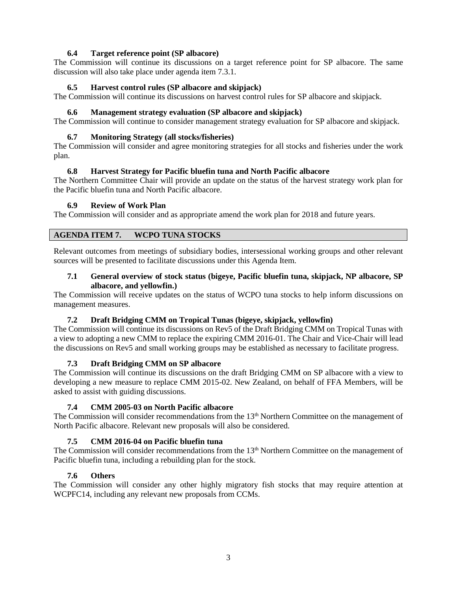# **6.4 Target reference point (SP albacore)**

The Commission will continue its discussions on a target reference point for SP albacore. The same discussion will also take place under agenda item 7.3.1.

### **6.5 Harvest control rules (SP albacore and skipjack)**

The Commission will continue its discussions on harvest control rules for SP albacore and skipjack.

#### **6.6 Management strategy evaluation (SP albacore and skipjack)**

The Commission will continue to consider management strategy evaluation for SP albacore and skipjack.

#### **6.7 Monitoring Strategy (all stocks/fisheries)**

The Commission will consider and agree monitoring strategies for all stocks and fisheries under the work plan.

#### **6.8 Harvest Strategy for Pacific bluefin tuna and North Pacific albacore**

The Northern Committee Chair will provide an update on the status of the harvest strategy work plan for the Pacific bluefin tuna and North Pacific albacore.

#### **6.9 Review of Work Plan**

The Commission will consider and as appropriate amend the work plan for 2018 and future years.

### **AGENDA ITEM 7. WCPO TUNA STOCKS**

Relevant outcomes from meetings of subsidiary bodies, intersessional working groups and other relevant sources will be presented to facilitate discussions under this Agenda Item.

### **7.1 General overview of stock status (bigeye, Pacific bluefin tuna, skipjack, NP albacore, SP albacore, and yellowfin.)**

The Commission will receive updates on the status of WCPO tuna stocks to help inform discussions on management measures.

### **7.2 Draft Bridging CMM on Tropical Tunas (bigeye, skipjack, yellowfin)**

The Commission will continue its discussions on Rev5 of the Draft Bridging CMM on Tropical Tunas with a view to adopting a new CMM to replace the expiring CMM 2016-01. The Chair and Vice-Chair will lead the discussions on Rev5 and small working groups may be established as necessary to facilitate progress.

### **7.3 Draft Bridging CMM on SP albacore**

The Commission will continue its discussions on the draft Bridging CMM on SP albacore with a view to developing a new measure to replace CMM 2015-02. New Zealand, on behalf of FFA Members, will be asked to assist with guiding discussions.

### **7.4 CMM 2005-03 on North Pacific albacore**

The Commission will consider recommendations from the 13<sup>th</sup> Northern Committee on the management of North Pacific albacore. Relevant new proposals will also be considered.

### **7.5 CMM 2016-04 on Pacific bluefin tuna**

The Commission will consider recommendations from the 13<sup>th</sup> Northern Committee on the management of Pacific bluefin tuna, including a rebuilding plan for the stock.

## **7.6 Others**

The Commission will consider any other highly migratory fish stocks that may require attention at WCPFC14, including any relevant new proposals from CCMs.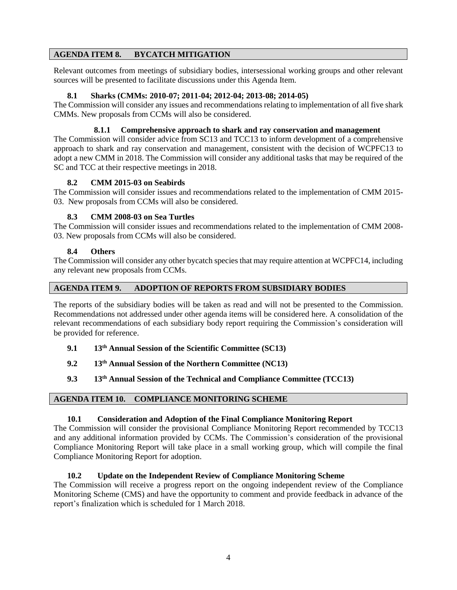### **AGENDA ITEM 8. BYCATCH MITIGATION**

Relevant outcomes from meetings of subsidiary bodies, intersessional working groups and other relevant sources will be presented to facilitate discussions under this Agenda Item.

### **8.1 Sharks (CMMs: 2010-07; 2011-04; 2012-04; 2013-08; 2014-05)**

The Commission will consider any issues and recommendations relating to implementation of all five shark CMMs. New proposals from CCMs will also be considered.

# **8.1.1 Comprehensive approach to shark and ray conservation and management**

The Commission will consider advice from SC13 and TCC13 to inform development of a comprehensive approach to shark and ray conservation and management, consistent with the decision of WCPFC13 to adopt a new CMM in 2018. The Commission will consider any additional tasks that may be required of the SC and TCC at their respective meetings in 2018.

## **8.2 CMM 2015-03 on Seabirds**

The Commission will consider issues and recommendations related to the implementation of CMM 2015- 03. New proposals from CCMs will also be considered.

## **8.3 CMM 2008-03 on Sea Turtles**

The Commission will consider issues and recommendations related to the implementation of CMM 2008- 03. New proposals from CCMs will also be considered.

## **8.4 Others**

The Commission will consider any other bycatch species that may require attention at WCPFC14, including any relevant new proposals from CCMs.

# **AGENDA ITEM 9. ADOPTION OF REPORTS FROM SUBSIDIARY BODIES**

The reports of the subsidiary bodies will be taken as read and will not be presented to the Commission. Recommendations not addressed under other agenda items will be considered here. A consolidation of the relevant recommendations of each subsidiary body report requiring the Commission's consideration will be provided for reference.

- **9.1 13th Annual Session of the Scientific Committee (SC13)**
- **9.2 13th Annual Session of the Northern Committee (NC13)**
- **9.3 13th Annual Session of the Technical and Compliance Committee (TCC13)**

### **AGENDA ITEM 10. COMPLIANCE MONITORING SCHEME**

### **10.1 Consideration and Adoption of the Final Compliance Monitoring Report**

The Commission will consider the provisional Compliance Monitoring Report recommended by TCC13 and any additional information provided by CCMs. The Commission's consideration of the provisional Compliance Monitoring Report will take place in a small working group, which will compile the final Compliance Monitoring Report for adoption.

### **10.2 Update on the Independent Review of Compliance Monitoring Scheme**

The Commission will receive a progress report on the ongoing independent review of the Compliance Monitoring Scheme (CMS) and have the opportunity to comment and provide feedback in advance of the report's finalization which is scheduled for 1 March 2018.